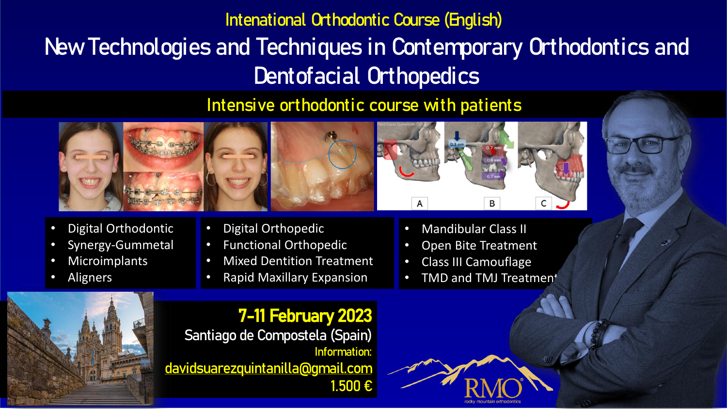## Intenational Orthodontic Course (English) New Technologies and Techniques in Contemporary Orthodontics and Dentofacial Orthopedics

## Intensive orthodontic course with patients



- Digital Orthodontic
- Synergy-Gummetal
- **Microimplants**
- **Aligners**



- Digital Orthopedic
- Functional Orthopedic
- Mixed Dentition Treatment
- Rapid Maxillary Expansion
- Mandibular Class II
- Open Bite Treatment
- Class III Camouflage
- TMD and TMJ Treatmen<sup>+</sup>

## 7-11 February 2023

Santiago de Compostela (Spain) Information: [davidsuarezquintanilla@gmail.com](mailto:davidsuarezquintanilla@gmail.com) 1.500 €